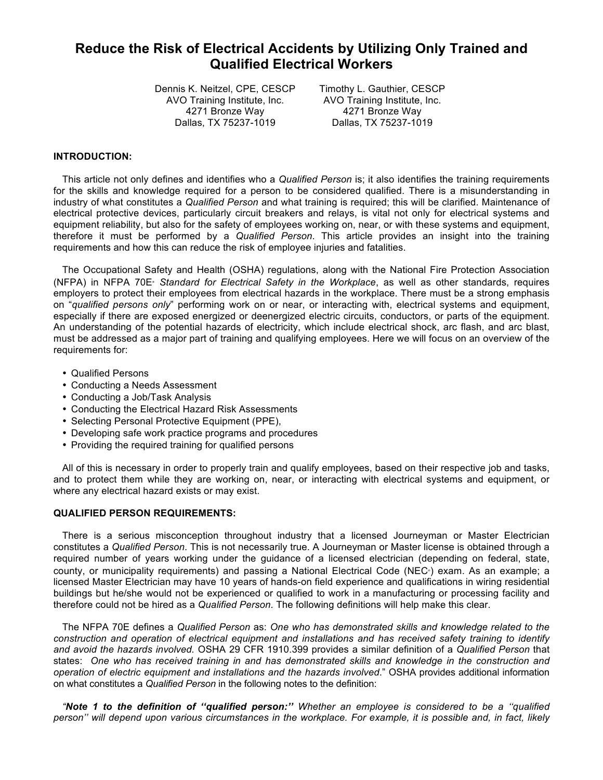# **Reduce the Risk of Electrical Accidents by Utilizing Only Trained and Qualified Electrical Workers**

Dennis K. Neitzel, CPE, CESCP AVO Training Institute, Inc. 4271 Bronze Way Dallas, TX 75237-1019

Timothy L. Gauthier, CESCP AVO Training Institute, Inc. 4271 Bronze Way Dallas, TX 75237-1019

# **INTRODUCTION:**

This article not only defines and identifies who a *Qualified Person* is; it also identifies the training requirements for the skills and knowledge required for a person to be considered qualified. There is a misunderstanding in industry of what constitutes a *Qualified Person* and what training is required; this will be clarified. Maintenance of electrical protective devices, particularly circuit breakers and relays, is vital not only for electrical systems and equipment reliability, but also for the safety of employees working on, near, or with these systems and equipment, therefore it must be performed by a *Qualified Person*. This article provides an insight into the training requirements and how this can reduce the risk of employee injuries and fatalities.

The Occupational Safety and Health (OSHA) regulations, along with the National Fire Protection Association (NFPA) in NFPA 70E® *Standard for Electrical Safety in the Workplace*, as well as other standards, requires employers to protect their employees from electrical hazards in the workplace. There must be a strong emphasis on "*qualified persons only*" performing work on or near, or interacting with, electrical systems and equipment, especially if there are exposed energized or deenergized electric circuits, conductors, or parts of the equipment. An understanding of the potential hazards of electricity, which include electrical shock, arc flash, and arc blast, must be addressed as a major part of training and qualifying employees. Here we will focus on an overview of the requirements for:

- Qualified Persons
- Conducting a Needs Assessment
- Conducting a Job/Task Analysis
- Conducting the Electrical Hazard Risk Assessments
- Selecting Personal Protective Equipment (PPE),
- Developing safe work practice programs and procedures
- Providing the required training for qualified persons

All of this is necessary in order to properly train and qualify employees, based on their respective job and tasks, and to protect them while they are working on, near, or interacting with electrical systems and equipment, or where any electrical hazard exists or may exist.

#### **QUALIFIED PERSON REQUIREMENTS:**

There is a serious misconception throughout industry that a licensed Journeyman or Master Electrician constitutes a *Qualified Person*. This is not necessarily true. A Journeyman or Master license is obtained through a required number of years working under the guidance of a licensed electrician (depending on federal, state, county, or municipality requirements) and passing a National Electrical Code (NEC<sup>®</sup>) exam. As an example; a licensed Master Electrician may have 10 years of hands-on field experience and qualifications in wiring residential buildings but he/she would not be experienced or qualified to work in a manufacturing or processing facility and therefore could not be hired as a *Qualified Person*. The following definitions will help make this clear.

The NFPA 70E defines a *Qualified Person* as: *One who has demonstrated skills and knowledge related to the construction and operation of electrical equipment and installations and has received safety training to identify and avoid the hazards involved.* OSHA 29 CFR 1910.399 provides a similar definition of a *Qualified Person* that states: *One who has received training in and has demonstrated skills and knowledge in the construction and operation of electric equipment and installations and the hazards involved*." OSHA provides additional information on what constitutes a *Qualified Person* in the following notes to the definition:

*"Note 1 to the definition of ''qualified person:'' Whether an employee is considered to be a ''qualified person'' will depend upon various circumstances in the workplace. For example, it is possible and, in fact, likely*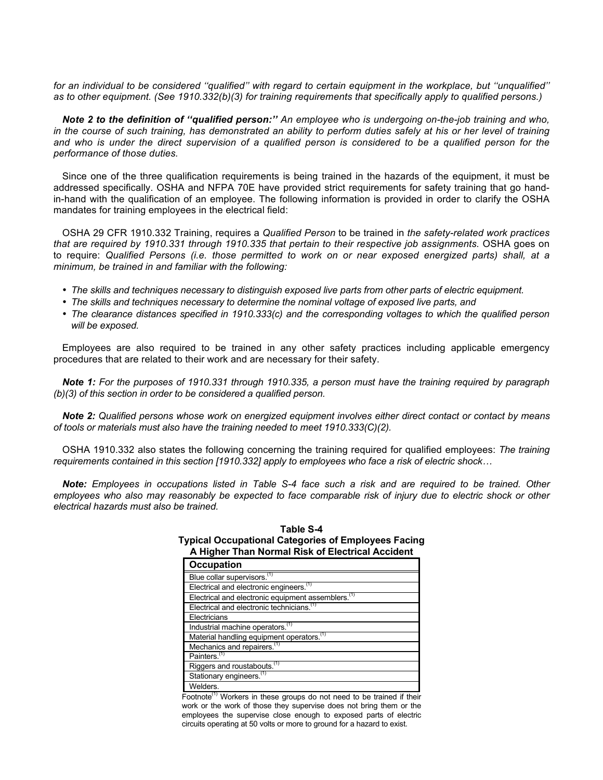*for an individual to be considered ''qualified'' with regard to certain equipment in the workplace, but ''unqualified'' as to other equipment. (See 1910.332(b)(3) for training requirements that specifically apply to qualified persons.)*

*Note 2 to the definition of ''qualified person:'' An employee who is undergoing on-the-job training and who, in the course of such training, has demonstrated an ability to perform duties safely at his or her level of training and who is under the direct supervision of a qualified person is considered to be a qualified person for the performance of those duties.*

Since one of the three qualification requirements is being trained in the hazards of the equipment, it must be addressed specifically. OSHA and NFPA 70E have provided strict requirements for safety training that go handin-hand with the qualification of an employee. The following information is provided in order to clarify the OSHA mandates for training employees in the electrical field:

OSHA 29 CFR 1910.332 Training, requires a *Qualified Person* to be trained in *the safety-related work practices that are required by 1910.331 through 1910.335 that pertain to their respective job assignments.* OSHA goes on to require: *Qualified Persons (i.e. those permitted to work on or near exposed energized parts) shall, at a minimum, be trained in and familiar with the following:*

- *The skills and techniques necessary to distinguish exposed live parts from other parts of electric equipment.*
- *The skills and techniques necessary to determine the nominal voltage of exposed live parts, and*
- *The clearance distances specified in 1910.333(c) and the corresponding voltages to which the qualified person will be exposed.*

Employees are also required to be trained in any other safety practices including applicable emergency procedures that are related to their work and are necessary for their safety.

*Note 1: For the purposes of 1910.331 through 1910.335, a person must have the training required by paragraph (b)(3) of this section in order to be considered a qualified person.*

*Note 2: Qualified persons whose work on energized equipment involves either direct contact or contact by means of tools or materials must also have the training needed to meet 1910.333(C)(2).*

OSHA 1910.332 also states the following concerning the training required for qualified employees: *The training requirements contained in this section [1910.332] apply to employees who face a risk of electric shock…*

*Note: Employees in occupations listed in Table S-4 face such a risk and are required to be trained. Other*  employees who also may reasonably be expected to face comparable risk of injury due to electric shock or other *electrical hazards must also be trained.*

| , , prodi o soodpational odtogonos or miljoro joso i domig<br>A Higher Than Normal Risk of Electrical Accident |  |
|----------------------------------------------------------------------------------------------------------------|--|
| <b>Occupation</b>                                                                                              |  |
| Blue collar supervisors. <sup>(1)</sup>                                                                        |  |
| Electrical and electronic engineers. <sup>(1)</sup>                                                            |  |
| Electrical and electronic equipment assemblers. <sup>(1)</sup>                                                 |  |
| Electrical and electronic technicians. <sup>(1)</sup>                                                          |  |
| Electricians                                                                                                   |  |
| Industrial machine operators. <sup>(1)</sup>                                                                   |  |
| Material handling equipment operators. <sup>(1)</sup>                                                          |  |
| Mechanics and repairers. <sup>(1)</sup>                                                                        |  |
| Painters. <sup>(1)</sup>                                                                                       |  |
| Riggers and roustabouts. <sup>(1)</sup>                                                                        |  |
| Stationary engineers. <sup>(1)</sup>                                                                           |  |
| Welders.                                                                                                       |  |

# **Table S-4 Typical Occupational Categories of Employees Facing**

Footnote<sup> $(1)$ </sup> Workers in these groups do not need to be trained if their work or the work of those they supervise does not bring them or the employees the supervise close enough to exposed parts of electric circuits operating at 50 volts or more to ground for a hazard to exist.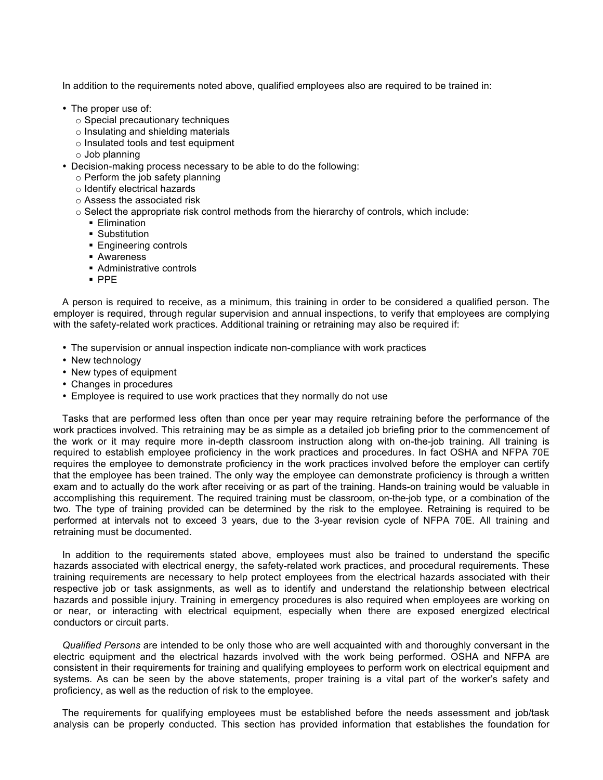In addition to the requirements noted above, qualified employees also are required to be trained in:

- The proper use of:
	- o Special precautionary techniques
	- o Insulating and shielding materials
	- o Insulated tools and test equipment
	- o Job planning
- Decision-making process necessary to be able to do the following:
	- o Perform the job safety planning
	- o Identify electrical hazards
	- o Assess the associated risk
	- $\circ$  Select the appropriate risk control methods from the hierarchy of controls, which include:
		- § Elimination
		- § Substitution
		- Engineering controls
		- § Awareness
		- Administrative controls
		- § PPE

A person is required to receive, as a minimum, this training in order to be considered a qualified person. The employer is required, through regular supervision and annual inspections, to verify that employees are complying with the safety-related work practices. Additional training or retraining may also be required if:

- The supervision or annual inspection indicate non-compliance with work practices
- New technology
- New types of equipment
- Changes in procedures
- Employee is required to use work practices that they normally do not use

Tasks that are performed less often than once per year may require retraining before the performance of the work practices involved. This retraining may be as simple as a detailed job briefing prior to the commencement of the work or it may require more in-depth classroom instruction along with on-the-job training. All training is required to establish employee proficiency in the work practices and procedures. In fact OSHA and NFPA 70E requires the employee to demonstrate proficiency in the work practices involved before the employer can certify that the employee has been trained. The only way the employee can demonstrate proficiency is through a written exam and to actually do the work after receiving or as part of the training. Hands-on training would be valuable in accomplishing this requirement. The required training must be classroom, on-the-job type, or a combination of the two. The type of training provided can be determined by the risk to the employee. Retraining is required to be performed at intervals not to exceed 3 years, due to the 3-year revision cycle of NFPA 70E. All training and retraining must be documented.

In addition to the requirements stated above, employees must also be trained to understand the specific hazards associated with electrical energy, the safety-related work practices, and procedural requirements. These training requirements are necessary to help protect employees from the electrical hazards associated with their respective job or task assignments, as well as to identify and understand the relationship between electrical hazards and possible injury. Training in emergency procedures is also required when employees are working on or near, or interacting with electrical equipment, especially when there are exposed energized electrical conductors or circuit parts.

*Qualified Persons* are intended to be only those who are well acquainted with and thoroughly conversant in the electric equipment and the electrical hazards involved with the work being performed. OSHA and NFPA are consistent in their requirements for training and qualifying employees to perform work on electrical equipment and systems. As can be seen by the above statements, proper training is a vital part of the worker's safety and proficiency, as well as the reduction of risk to the employee.

The requirements for qualifying employees must be established before the needs assessment and job/task analysis can be properly conducted. This section has provided information that establishes the foundation for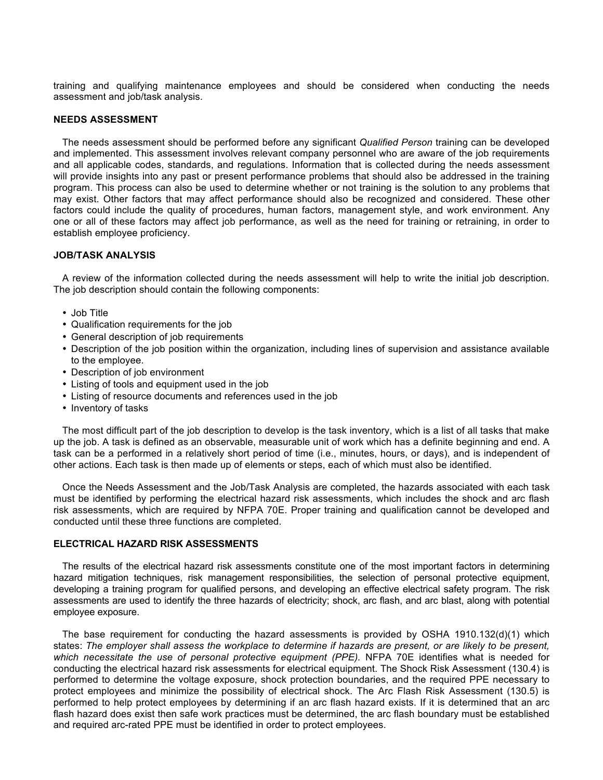training and qualifying maintenance employees and should be considered when conducting the needs assessment and job/task analysis.

#### **NEEDS ASSESSMENT**

The needs assessment should be performed before any significant *Qualified Person* training can be developed and implemented. This assessment involves relevant company personnel who are aware of the job requirements and all applicable codes, standards, and regulations. Information that is collected during the needs assessment will provide insights into any past or present performance problems that should also be addressed in the training program. This process can also be used to determine whether or not training is the solution to any problems that may exist. Other factors that may affect performance should also be recognized and considered. These other factors could include the quality of procedures, human factors, management style, and work environment. Any one or all of these factors may affect job performance, as well as the need for training or retraining, in order to establish employee proficiency.

#### **JOB/TASK ANALYSIS**

A review of the information collected during the needs assessment will help to write the initial job description. The job description should contain the following components:

- Job Title
- Qualification requirements for the job
- General description of job requirements
- Description of the job position within the organization, including lines of supervision and assistance available to the employee.
- Description of job environment
- Listing of tools and equipment used in the job
- Listing of resource documents and references used in the job
- Inventory of tasks

The most difficult part of the job description to develop is the task inventory, which is a list of all tasks that make up the job. A task is defined as an observable, measurable unit of work which has a definite beginning and end. A task can be a performed in a relatively short period of time (i.e., minutes, hours, or days), and is independent of other actions. Each task is then made up of elements or steps, each of which must also be identified.

Once the Needs Assessment and the Job/Task Analysis are completed, the hazards associated with each task must be identified by performing the electrical hazard risk assessments, which includes the shock and arc flash risk assessments, which are required by NFPA 70E. Proper training and qualification cannot be developed and conducted until these three functions are completed.

#### **ELECTRICAL HAZARD RISK ASSESSMENTS**

The results of the electrical hazard risk assessments constitute one of the most important factors in determining hazard mitigation techniques, risk management responsibilities, the selection of personal protective equipment, developing a training program for qualified persons, and developing an effective electrical safety program. The risk assessments are used to identify the three hazards of electricity; shock, arc flash, and arc blast, along with potential employee exposure.

The base requirement for conducting the hazard assessments is provided by OSHA 1910.132(d)(1) which states: *The employer shall assess the workplace to determine if hazards are present, or are likely to be present, which necessitate the use of personal protective equipment (PPE).* NFPA 70E identifies what is needed for conducting the electrical hazard risk assessments for electrical equipment. The Shock Risk Assessment (130.4) is performed to determine the voltage exposure, shock protection boundaries, and the required PPE necessary to protect employees and minimize the possibility of electrical shock. The Arc Flash Risk Assessment (130.5) is performed to help protect employees by determining if an arc flash hazard exists. If it is determined that an arc flash hazard does exist then safe work practices must be determined, the arc flash boundary must be established and required arc-rated PPE must be identified in order to protect employees.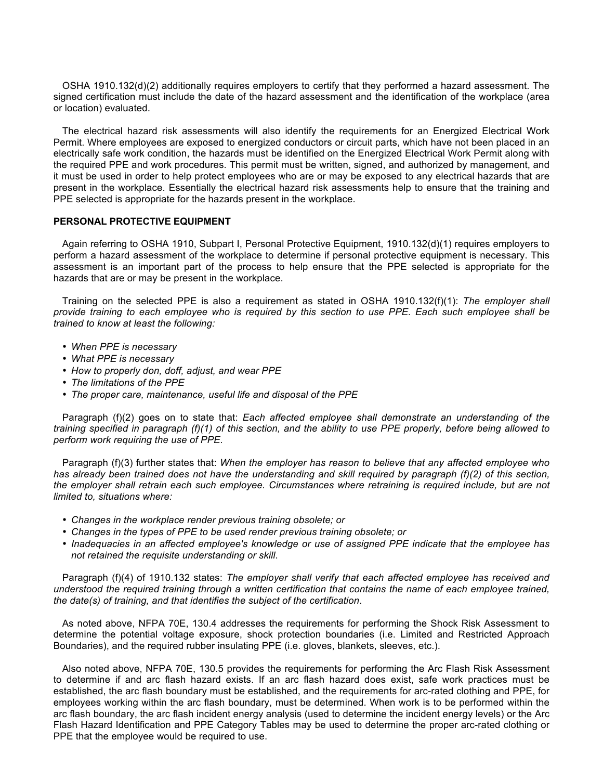OSHA 1910.132(d)(2) additionally requires employers to certify that they performed a hazard assessment. The signed certification must include the date of the hazard assessment and the identification of the workplace (area or location) evaluated.

The electrical hazard risk assessments will also identify the requirements for an Energized Electrical Work Permit. Where employees are exposed to energized conductors or circuit parts, which have not been placed in an electrically safe work condition, the hazards must be identified on the Energized Electrical Work Permit along with the required PPE and work procedures. This permit must be written, signed, and authorized by management, and it must be used in order to help protect employees who are or may be exposed to any electrical hazards that are present in the workplace. Essentially the electrical hazard risk assessments help to ensure that the training and PPE selected is appropriate for the hazards present in the workplace.

#### **PERSONAL PROTECTIVE EQUIPMENT**

Again referring to OSHA 1910, Subpart I, Personal Protective Equipment, 1910.132(d)(1) requires employers to perform a hazard assessment of the workplace to determine if personal protective equipment is necessary. This assessment is an important part of the process to help ensure that the PPE selected is appropriate for the hazards that are or may be present in the workplace.

Training on the selected PPE is also a requirement as stated in OSHA 1910.132(f)(1): *The employer shall provide training to each employee who is required by this section to use PPE. Each such employee shall be trained to know at least the following:*

- *When PPE is necessary*
- *What PPE is necessary*
- *How to properly don, doff, adjust, and wear PPE*
- *The limitations of the PPE*
- *The proper care, maintenance, useful life and disposal of the PPE*

Paragraph (f)(2) goes on to state that: *Each affected employee shall demonstrate an understanding of the training specified in paragraph (f)(1) of this section, and the ability to use PPE properly, before being allowed to perform work requiring the use of PPE.*

Paragraph (f)(3) further states that: *When the employer has reason to believe that any affected employee who*  has already been trained does not have the understanding and skill required by paragraph (f)(2) of this section, *the employer shall retrain each such employee. Circumstances where retraining is required include, but are not limited to, situations where:*

- *Changes in the workplace render previous training obsolete; or*
- *Changes in the types of PPE to be used render previous training obsolete; or*
- *Inadequacies in an affected employee's knowledge or use of assigned PPE indicate that the employee has not retained the requisite understanding or skill*.

Paragraph (f)(4) of 1910.132 states: *The employer shall verify that each affected employee has received and understood the required training through a written certification that contains the name of each employee trained, the date(s) of training, and that identifies the subject of the certification*.

As noted above, NFPA 70E, 130.4 addresses the requirements for performing the Shock Risk Assessment to determine the potential voltage exposure, shock protection boundaries (i.e. Limited and Restricted Approach Boundaries), and the required rubber insulating PPE (i.e. gloves, blankets, sleeves, etc.).

Also noted above, NFPA 70E, 130.5 provides the requirements for performing the Arc Flash Risk Assessment to determine if and arc flash hazard exists. If an arc flash hazard does exist, safe work practices must be established, the arc flash boundary must be established, and the requirements for arc-rated clothing and PPE, for employees working within the arc flash boundary, must be determined. When work is to be performed within the arc flash boundary, the arc flash incident energy analysis (used to determine the incident energy levels) or the Arc Flash Hazard Identification and PPE Category Tables may be used to determine the proper arc-rated clothing or PPE that the employee would be required to use.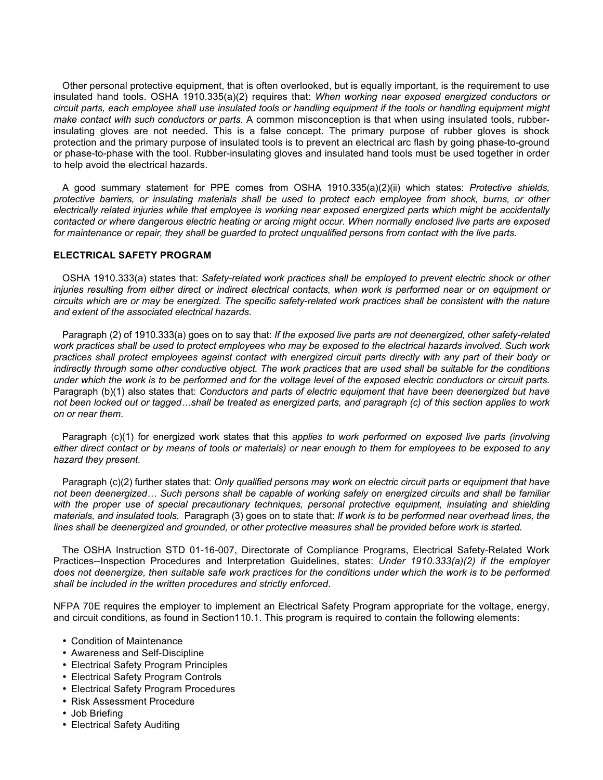Other personal protective equipment, that is often overlooked, but is equally important, is the requirement to use insulated hand tools. OSHA 1910.335(a)(2) requires that: *When working near exposed energized conductors or circuit parts, each employee shall use insulated tools or handling equipment if the tools or handling equipment might make contact with such conductors or parts.* A common misconception is that when using insulated tools, rubberinsulating gloves are not needed. This is a false concept. The primary purpose of rubber gloves is shock protection and the primary purpose of insulated tools is to prevent an electrical arc flash by going phase-to-ground or phase-to-phase with the tool. Rubber-insulating gloves and insulated hand tools must be used together in order to help avoid the electrical hazards.

A good summary statement for PPE comes from OSHA 1910.335(a)(2)(ii) which states: *Protective shields, protective barriers, or insulating materials shall be used to protect each employee from shock, burns, or other electrically related injuries while that employee is working near exposed energized parts which might be accidentally*  contacted or where dangerous electric heating or arcing might occur. When normally enclosed live parts are exposed *for maintenance or repair, they shall be guarded to protect unqualified persons from contact with the live parts.*

## **ELECTRICAL SAFETY PROGRAM**

OSHA 1910.333(a) states that: *Safety-related work practices shall be employed to prevent electric shock or other injuries resulting from either direct or indirect electrical contacts, when work is performed near or on equipment or circuits which are or may be energized. The specific safety-related work practices shall be consistent with the nature and extent of the associated electrical hazards*.

Paragraph (2) of 1910.333(a) goes on to say that: *If the exposed live parts are not deenergized, other safety-related work practices shall be used to protect employees who may be exposed to the electrical hazards involved. Such work practices shall protect employees against contact with energized circuit parts directly with any part of their body or indirectly through some other conductive object. The work practices that are used shall be suitable for the conditions under which the work is to be performed and for the voltage level of the exposed electric conductors or circuit parts.* Paragraph (b)(1) also states that: *Conductors and parts of electric equipment that have been deenergized but have not been locked out or tagged…shall be treated as energized parts, and paragraph (c) of this section applies to work on or near them*.

Paragraph (c)(1) for energized work states that this *applies to work performed on exposed live parts (involving either direct contact or by means of tools or materials) or near enough to them for employees to be exposed to any hazard they present*.

Paragraph (c)(2) further states that: *Only qualified persons may work on electric circuit parts or equipment that have not been deenergized… Such persons shall be capable of working safely on energized circuits and shall be familiar*  with the proper use of special precautionary techniques, personal protective equipment, insulating and shielding *materials, and insulated tools.* Paragraph (3) goes on to state that: *If work is to be performed near overhead lines, the lines shall be deenergized and grounded, or other protective measures shall be provided before work is started*.

The OSHA Instruction STD 01-16-007, Directorate of Compliance Programs, Electrical Safety-Related Work Practices--Inspection Procedures and Interpretation Guidelines, states: *Under 1910.333(a)(2) if the employer does not deenergize, then suitable safe work practices for the conditions under which the work is to be performed shall be included in the written procedures and strictly enforced*.

NFPA 70E requires the employer to implement an Electrical Safety Program appropriate for the voltage, energy, and circuit conditions, as found in Section110.1. This program is required to contain the following elements:

- Condition of Maintenance
- Awareness and Self-Discipline
- Electrical Safety Program Principles
- Electrical Safety Program Controls
- Electrical Safety Program Procedures
- Risk Assessment Procedure
- Job Briefing
- Electrical Safety Auditing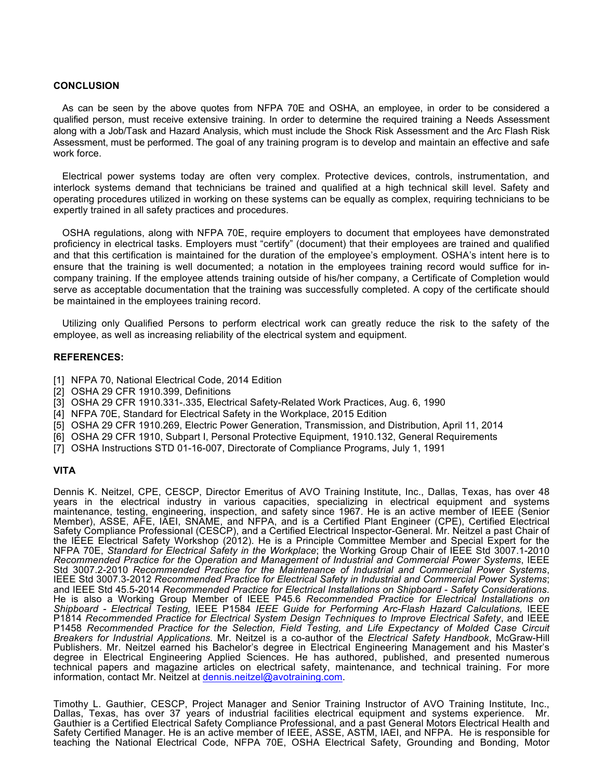#### **CONCLUSION**

As can be seen by the above quotes from NFPA 70E and OSHA, an employee, in order to be considered a qualified person, must receive extensive training. In order to determine the required training a Needs Assessment along with a Job/Task and Hazard Analysis, which must include the Shock Risk Assessment and the Arc Flash Risk Assessment, must be performed. The goal of any training program is to develop and maintain an effective and safe work force.

Electrical power systems today are often very complex. Protective devices, controls, instrumentation, and interlock systems demand that technicians be trained and qualified at a high technical skill level. Safety and operating procedures utilized in working on these systems can be equally as complex, requiring technicians to be expertly trained in all safety practices and procedures.

OSHA regulations, along with NFPA 70E, require employers to document that employees have demonstrated proficiency in electrical tasks. Employers must "certify" (document) that their employees are trained and qualified and that this certification is maintained for the duration of the employee's employment. OSHA's intent here is to ensure that the training is well documented; a notation in the employees training record would suffice for incompany training. If the employee attends training outside of his/her company, a Certificate of Completion would serve as acceptable documentation that the training was successfully completed. A copy of the certificate should be maintained in the employees training record.

Utilizing only Qualified Persons to perform electrical work can greatly reduce the risk to the safety of the employee, as well as increasing reliability of the electrical system and equipment.

#### **REFERENCES:**

- [1] NFPA 70, National Electrical Code, 2014 Edition
- [2] OSHA 29 CFR 1910.399, Definitions
- [3] OSHA 29 CFR 1910.331-.335, Electrical Safety-Related Work Practices, Aug. 6, 1990
- [4] NFPA 70E, Standard for Electrical Safety in the Workplace, 2015 Edition
- [5] OSHA 29 CFR 1910.269, Electric Power Generation, Transmission, and Distribution, April 11, 2014
- [6] OSHA 29 CFR 1910, Subpart I, Personal Protective Equipment, 1910.132, General Requirements
- [7] OSHA Instructions STD 01-16-007, Directorate of Compliance Programs, July 1, 1991

## **VITA**

Dennis K. Neitzel, CPE, CESCP, Director Emeritus of AVO Training Institute, Inc., Dallas, Texas, has over 48 years in the electrical industry in various capacities, specializing in electrical equipment and systems maintenance, testing, engineering, inspection, and safety since 1967. He is an active member of IEEE (Senior Member), ASSE, AFE, IAEI, SNAME, and NFPA, and is a Certified Plant Engineer (CPE), Certified Electrical Safety Compliance Professional (CESCP), and a Certified Electrical Inspector-General. Mr. Neitzel a past Chair of the IEEE Electrical Safety Workshop (2012). He is a Principle Committee Member and Special Expert for the NFPA 70E, *Standard for Electrical Safety in the Workplace*; the Working Group Chair of IEEE Std 3007.1-2010 *Recommended Practice for the Operation and Management of Industrial and Commercial Power Systems*, IEEE Std 3007.2-2010 *Recommended Practice for the Maintenance of Industrial and Commercial Power Systems*, IEEE Std 3007.3-2012 *Recommended Practice for Electrical Safety in Industrial and Commercial Power Systems*; and IEEE Std 45.5-2014 *Recommended Practice for Electrical Installations on Shipboard - Safety Considerations.* He is also a Working Group Member of IEEE P45.6 *Recommended Practice for Electrical Installations on Shipboard - Electrical Testing,* IEEE P1584 *IEEE Guide for Performing Arc-Flash Hazard Calculations,* IEEE P1814 *Recommended Practice for Electrical System Design Techniques to Improve Electrical Safety*, and IEEE P1458 *Recommended Practice for the Selection, Field Testing, and Life Expectancy of Molded Case Circuit Breakers for Industrial Applications.* Mr. Neitzel is a co-author of the *Electrical Safety Handbook*, McGraw-Hill Publishers. Mr. Neitzel earned his Bachelor's degree in Electrical Engineering Management and his Master's degree in Electrical Engineering Applied Sciences. He has authored, published, and presented numerous technical papers and magazine articles on electrical safety, maintenance, and technical training. For more information, contact Mr. Neitzel at dennis.neitzel@avotraining.com.

Timothy L. Gauthier, CESCP, Project Manager and Senior Training Instructor of AVO Training Institute, Inc., Dallas, Texas, has over 37 years of industrial facilities electrical equipment and systems experience. Mr. Gauthier is a Certified Electrical Safety Compliance Professional, and a past General Motors Electrical Health and Safety Certified Manager. He is an active member of IEEE, ASSE, ASTM, IAEI, and NFPA. He is responsible for teaching the National Electrical Code, NFPA 70E, OSHA Electrical Safety, Grounding and Bonding, Motor